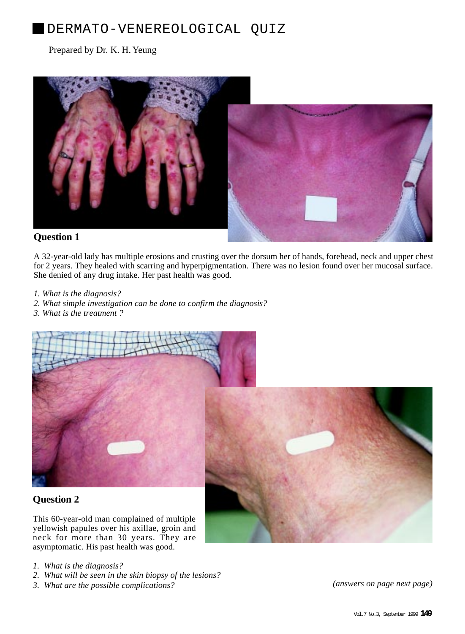# DERMATO-VENEREOLOGICAL QUIZ

### Prepared by Dr. K. H. Yeung



A 32-year-old lady has multiple erosions and crusting over the dorsum her of hands, forehead, neck and upper chest for 2 years. They healed with scarring and hyperpigmentation. There was no lesion found over her mucosal surface. She denied of any drug intake. Her past health was good.

- *1. What is the diagnosis?*
- *2. What simple investigation can be done to confirm the diagnosis?*
- *3. What is the treatment ?*



## **Question 2**

This 60-year-old man complained of multiple yellowish papules over his axillae, groin and neck for more than 30 years. They are asymptomatic. His past health was good.

- *1. What is the diagnosis?*
- *2. What will be seen in the skin biopsy of the lesions?*
- *3. What are the possible complications? (answers on page next page)*